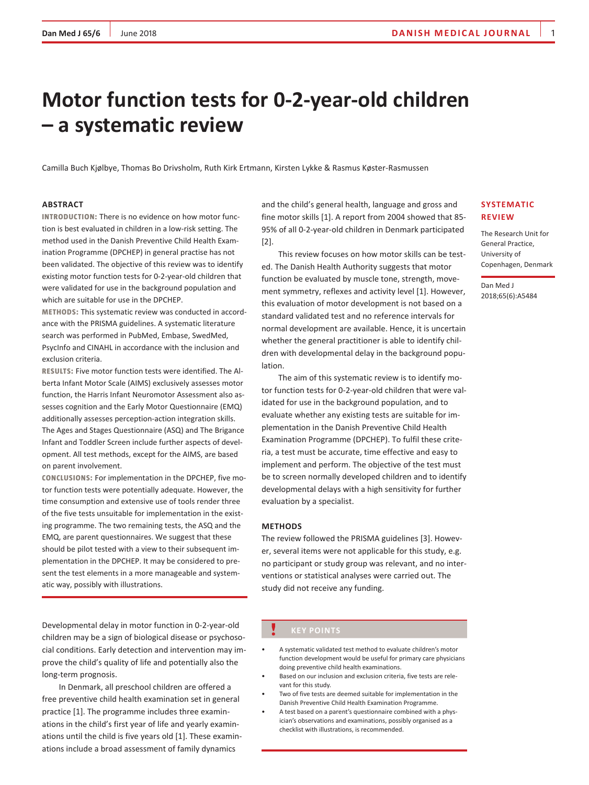# **Motor function tests for 0-2-year-old children – a systematic review**

Camilla Buch Kjølbye, Thomas Bo Drivsholm, Ruth Kirk Ertmann, Kirsten Lykke & Rasmus Køster-Rasmussen

# **Abstract**

**Introduction:** There is no evidence on how motor function is best evaluated in children in a low-risk setting. The method used in the Danish Preventive Child Health Examination Programme (DPCHEP) in general practise has not been validated. The objective of this review was to identify existing motor function tests for 0-2-year-old children that were validated for use in the background population and which are suitable for use in the DPCHEP.

**Methods:** This systematic review was conducted in accordance with the PRISMA guidelines. A systematic literature search was performed in PubMed, Embase, SwedMed, PsycInfo and CINAHL in accordance with the inclusion and exclusion criteria.

**Results:** Five motor function tests were identified. The Alberta Infant Motor Scale (AIMS) exclusively assesses motor function, the Harris Infant Neuromotor Assessment also assesses cognition and the Early Motor Questionnaire (EMQ) additionally assesses perception-action integration skills. The Ages and Stages Questionnaire (ASQ) and The Brigance Infant and Toddler Screen include further aspects of development. All test methods, except for the AIMS, are based on parent involvement.

**Conclusions:** For implementation in the DPCHEP, five motor function tests were potentially adequate. However, the time consumption and extensive use of tools render three of the five tests unsuitable for implementation in the existing programme. The two remaining tests, the ASQ and the EMQ, are parent questionnaires. We suggest that these should be pilot tested with a view to their subsequent implementation in the DPCHEP. It may be considered to present the test elements in a more manageable and systematic way, possibly with illustrations.

Developmental delay in motor function in 0-2-year-old children may be a sign of biological disease or psychosocial conditions. Early detection and intervention may improve the child's quality of life and potentially also the long-term prognosis.

In Denmark, all preschool children are offered a free preventive child health examination set in general practice [1]. The programme includes three examinations in the child's first year of life and yearly examinations until the child is five years old [1]. These examinations include a broad assessment of family dynamics

and the child's general health, language and gross and fine motor skills [1]. A report from 2004 showed that 85- 95% of all 0-2-year-old children in Denmark participated [2].

This review focuses on how motor skills can be tested. The Danish Health Authority suggests that motor function be evaluated by muscle tone, strength, movement symmetry, reflexes and activity level [1]. However, this evaluation of motor development is not based on a standard validated test and no reference intervals for normal development are available. Hence, it is uncertain whether the general practitioner is able to identify children with developmental delay in the background population.

The aim of this systematic review is to identify motor function tests for 0-2-year-old children that were validated for use in the background population, and to evaluate whether any existing tests are suitable for implementation in the Danish Preventive Child Health Examination Programme (DPCHEP). To fulfil these criteria, a test must be accurate, time effective and easy to implement and perform. The objective of the test must be to screen normally developed children and to identify developmental delays with a high sensitivity for further evaluation by a specialist.

#### **Methods**

The review followed the PRISMA guidelines [3]. However, several items were not applicable for this study, e.g. no participant or study group was relevant, and no interventions or statistical analyses were carried out. The study did not receive any funding.

# **Key points**

- A systematic validated test method to evaluate children's motor function development would be useful for primary care physicians doing preventive child health examinations.
- Based on our inclusion and exclusion criteria, five tests are relevant for this study.
- Two of five tests are deemed suitable for implementation in the Danish Preventive Child Health Examination Programme.
- A test based on a parent's questionnaire combined with a physician's observations and examinations, possibly organised as a checklist with illustrations, is recommended.

# **systematic review**

The Research Unit for General Practice, University of Copenhagen, Denmark

Dan Med J 2018;65(6):A5484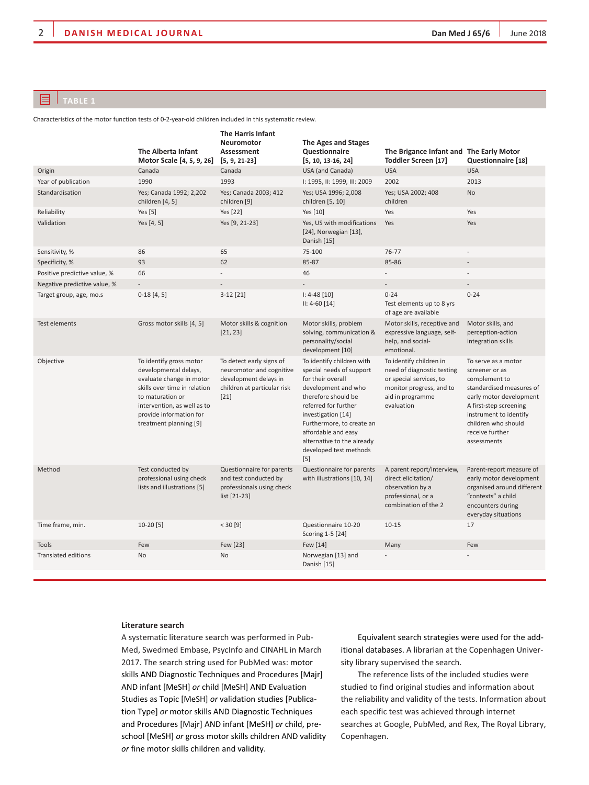# $\boxed{=}$  TABLE 1

Characteristics of the motor function tests of 0-2-year-old children included in this systematic review.

|                              | The Alberta Infant<br>Motor Scale [4, 5, 9, 26]                                                                                                                                                                      | The Harris Infant<br>Neuromotor<br>Assessment<br>$[5, 9, 21-23]$                                                       | <b>The Ages and Stages</b><br>Questionnaire<br>$[5, 10, 13-16, 24]$                                                                                                                                                                                                                       | The Brigance Infant and The Early Motor<br>Toddler Screen [17]                                                                                 | Questionnaire [18]                                                                                                                                                                                                         |
|------------------------------|----------------------------------------------------------------------------------------------------------------------------------------------------------------------------------------------------------------------|------------------------------------------------------------------------------------------------------------------------|-------------------------------------------------------------------------------------------------------------------------------------------------------------------------------------------------------------------------------------------------------------------------------------------|------------------------------------------------------------------------------------------------------------------------------------------------|----------------------------------------------------------------------------------------------------------------------------------------------------------------------------------------------------------------------------|
| Origin                       | Canada                                                                                                                                                                                                               | Canada                                                                                                                 | USA (and Canada)                                                                                                                                                                                                                                                                          | <b>USA</b>                                                                                                                                     | <b>USA</b>                                                                                                                                                                                                                 |
| Year of publication          | 1990                                                                                                                                                                                                                 | 1993                                                                                                                   | I: 1995, II: 1999, III: 2009                                                                                                                                                                                                                                                              | 2002                                                                                                                                           | 2013                                                                                                                                                                                                                       |
| Standardisation              | Yes; Canada 1992; 2,202<br>children [4, 5]                                                                                                                                                                           | Yes; Canada 2003; 412<br>children [9]                                                                                  | Yes; USA 1996; 2,008<br>children [5, 10]                                                                                                                                                                                                                                                  | Yes; USA 2002; 408<br>children                                                                                                                 | No                                                                                                                                                                                                                         |
| Reliability                  | Yes $[5]$                                                                                                                                                                                                            | Yes [22]                                                                                                               | Yes [10]                                                                                                                                                                                                                                                                                  | Yes                                                                                                                                            | Yes                                                                                                                                                                                                                        |
| Validation                   | Yes [4, 5]                                                                                                                                                                                                           | Yes [9, 21-23]                                                                                                         | Yes, US with modifications<br>[24], Norwegian [13],<br>Danish [15]                                                                                                                                                                                                                        | Yes                                                                                                                                            | Yes                                                                                                                                                                                                                        |
| Sensitivity, %               | 86                                                                                                                                                                                                                   | 65                                                                                                                     | 75-100                                                                                                                                                                                                                                                                                    | 76-77                                                                                                                                          | $\overline{a}$                                                                                                                                                                                                             |
| Specificity, %               | 93                                                                                                                                                                                                                   | 62                                                                                                                     | 85-87                                                                                                                                                                                                                                                                                     | 85-86                                                                                                                                          |                                                                                                                                                                                                                            |
| Positive predictive value, % | 66                                                                                                                                                                                                                   |                                                                                                                        | 46                                                                                                                                                                                                                                                                                        |                                                                                                                                                |                                                                                                                                                                                                                            |
| Negative predictive value, % |                                                                                                                                                                                                                      |                                                                                                                        |                                                                                                                                                                                                                                                                                           |                                                                                                                                                |                                                                                                                                                                                                                            |
| Target group, age, mo.s      | $0-18[4,5]$                                                                                                                                                                                                          | $3-12$ [21]                                                                                                            | $I: 4-48 [10]$<br>$II: 4-60 [14]$                                                                                                                                                                                                                                                         | $0 - 24$<br>Test elements up to 8 yrs<br>of age are available                                                                                  | $0 - 24$                                                                                                                                                                                                                   |
| Test elements                | Gross motor skills [4, 5]                                                                                                                                                                                            | Motor skills & cognition<br>[21, 23]                                                                                   | Motor skills, problem<br>solving, communication &<br>personality/social<br>development [10]                                                                                                                                                                                               | Motor skills, receptive and<br>expressive language, self-<br>help, and social-<br>emotional.                                                   | Motor skills, and<br>perception-action<br>integration skills                                                                                                                                                               |
| Objective                    | To identify gross motor<br>developmental delays,<br>evaluate change in motor<br>skills over time in relation<br>to maturation or<br>intervention, as well as to<br>provide information for<br>treatment planning [9] | To detect early signs of<br>neuromotor and cognitive<br>development delays in<br>children at particular risk<br>$[21]$ | To identify children with<br>special needs of support<br>for their overall<br>development and who<br>therefore should be<br>referred for further<br>investigation [14]<br>Furthermore, to create an<br>affordable and easy<br>alternative to the already<br>developed test methods<br>[5] | To identify children in<br>need of diagnostic testing<br>or special services, to<br>monitor progress, and to<br>aid in programme<br>evaluation | To serve as a motor<br>screener or as<br>complement to<br>standardised measures of<br>early motor development<br>A first-step screening<br>instrument to identify<br>children who should<br>receive further<br>assessments |
| Method                       | Test conducted by<br>professional using check<br>lists and illustrations [5]                                                                                                                                         | Questionnaire for parents<br>and test conducted by<br>professionals using check<br>list [21-23]                        | Questionnaire for parents<br>with illustrations [10, 14]                                                                                                                                                                                                                                  | A parent report/interview,<br>direct elicitation/<br>observation by a<br>professional, or a<br>combination of the 2                            | Parent-report measure of<br>early motor development<br>organised around different<br>"contexts" a child<br>encounters during<br>everyday situations                                                                        |
| Time frame, min.             | $10-20$ [5]                                                                                                                                                                                                          | < 30 [9]                                                                                                               | Questionnaire 10-20<br>Scoring 1-5 [24]                                                                                                                                                                                                                                                   | $10 - 15$                                                                                                                                      | 17                                                                                                                                                                                                                         |
| <b>Tools</b>                 | Few                                                                                                                                                                                                                  | Few [23]                                                                                                               | Few [14]                                                                                                                                                                                                                                                                                  | Many                                                                                                                                           | Few                                                                                                                                                                                                                        |
| <b>Translated editions</b>   | <b>No</b>                                                                                                                                                                                                            | No                                                                                                                     | Norwegian [13] and<br>Danish [15]                                                                                                                                                                                                                                                         |                                                                                                                                                |                                                                                                                                                                                                                            |

# **Literature search**

A systematic literature search was performed in Pub-Med, Swedmed Embase, PsycInfo and CINAHL in March 2017. The search string used for PubMed was: motor skills AND Diagnostic Techniques and Procedures [Majr] and infant [MeSH] *or* child [MeSH] and Evaluation Studies as Topic [MeSH] *or* validation studies [Publication Type] or motor skills AND Diagnostic Techniques and Procedures [Majr] and infant [MeSH] *or* child, preschool [MeSH] or gross motor skills children AND validity *or* fine motor skills children and validity.

Equivalent search strategies were used for the additional databases. A librarian at the Copenhagen University library supervised the search.

The reference lists of the included studies were studied to find original studies and information about the reliability and validity of the tests. Information about each specific test was achieved through internet searches at Google, PubMed, and Rex, The Royal Library, Copenhagen.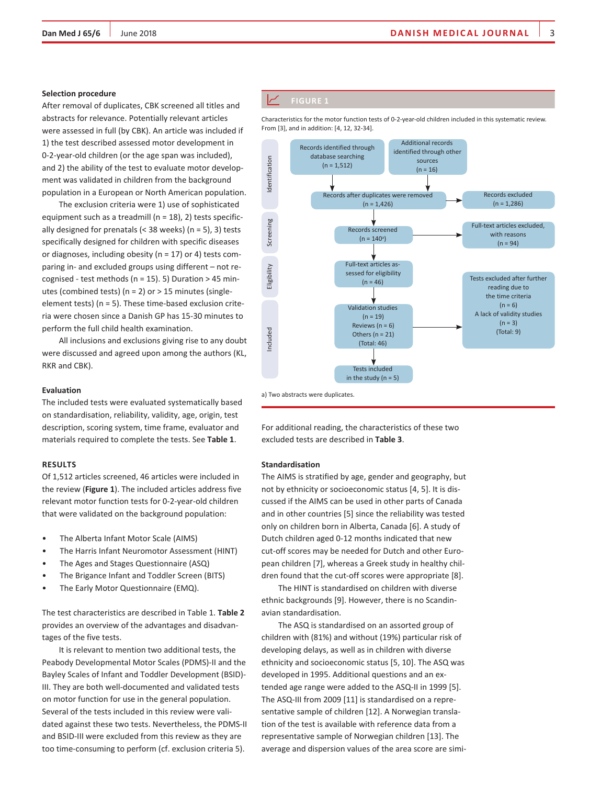#### **Selection procedure**

After removal of duplicates, CBK screened all titles and abstracts for relevance. Potentially relevant articles were assessed in full (by CBK). An article was included if 1) the test described assessed motor development in 0-2-year-old children (or the age span was included), and 2) the ability of the test to evaluate motor development was validated in children from the background population in a European or North American population.

The exclusion criteria were 1) use of sophisticated equipment such as a treadmill (n = 18), 2) tests specifically designed for prenatals (< 38 weeks) ( $n = 5$ ), 3) tests specifically designed for children with specific diseases or diagnoses, including obesity ( $n = 17$ ) or 4) tests comparing in- and excluded groups using different – not recognised - test methods ( $n = 15$ ). 5) Duration > 45 minutes (combined tests) ( $n = 2$ ) or  $> 15$  minutes (singleelement tests) (n = 5). These time-based exclusion criteria were chosen since a Danish GP has 15-30 minutes to perform the full child health examination.

All inclusions and exclusions giving rise to any doubt were discussed and agreed upon among the authors (KL, RKR and CBK).

# **Evaluation**

The included tests were evaluated systematically based on standardisation, reliability, validity, age, origin, test description, scoring system, time frame, evaluator and materials required to complete the tests. See **Table 1**.

#### **Results**

Of 1,512 articles screened, 46 articles were included in the review (**Figure 1**). The included articles address five relevant motor function tests for 0-2-year-old children that were validated on the background population:

- The Alberta Infant Motor Scale (AIMS)
- The Harris Infant Neuromotor Assessment (HINT)
- The Ages and Stages Questionnaire (ASQ)
- The Brigance Infant and Toddler Screen (BITS)
- The Early Motor Questionnaire (EMQ).

The test characteristics are described in Table 1. **Table 2** provides an overview of the advantages and disadvantages of the five tests.

It is relevant to mention two additional tests, the Peabody Developmental Motor Scales (PDMS)-II and the Bayley Scales of Infant and Toddler Development (BSID)- III. They are both well-documented and validated tests on motor function for use in the general population. Several of the tests included in this review were validated against these two tests. Nevertheless, the PDMS-II and BSID-III were excluded from this review as they are too time-consuming to perform (cf. exclusion criteria 5).

Characteristics for the motor function tests of 0-2-year-old children included in this systematic review. From [3], and in addition: [4, 12, 32-34].



For additional reading, the characteristics of these two

excluded tests are described in **Table 3**.

#### **Standardisation**

The AIMS is stratified by age, gender and geography, but not by ethnicity or socioeconomic status [4, 5]. It is discussed if the AIMS can be used in other parts of Canada and in other countries [5] since the reliability was tested only on children born in Alberta, Canada [6]. A study of Dutch children aged 0-12 months indicated that new cut-off scores may be needed for Dutch and other European children [7], whereas a Greek study in healthy children found that the cut-off scores were appropriate [8].

The HINT is standardised on children with diverse ethnic backgrounds [9]. However, there is no Scandinavian standardisation.

The ASQ is standardised on an assorted group of children with (81%) and without (19%) particular risk of developing delays, as well as in children with diverse ethnicity and socioeconomic status [5, 10]. The ASQ was developed in 1995. Additional questions and an extended age range were added to the ASQ-II in 1999 [5]. The ASQ-III from 2009 [11] is standardised on a representative sample of children [12]. A Norwegian translation of the test is available with reference data from a representative sample of Norwegian children [13]. The average and dispersion values of the area score are simi-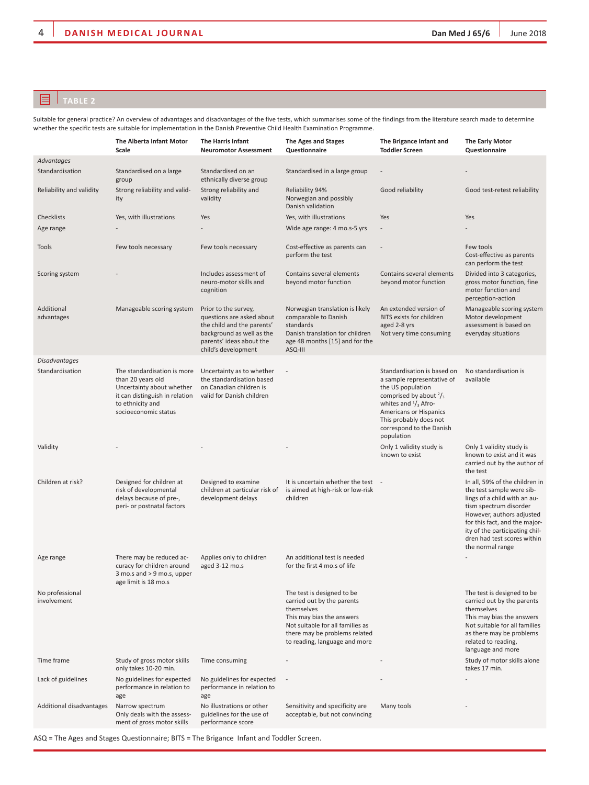# **TABLE 2**

Suitable for general practice? An overview of advantages and disadvantages of the five tests, which summarises some of the findings from the literature search made to determine whether the specific tests are suitable for implementation in the Danish Preventive Child Health Examination Programme.

|                                | The Alberta Infant Motor<br>Scale                                                                                                                           | <b>The Harris Infant</b><br><b>Neuromotor Assessment</b>                                                                                                        | <b>The Ages and Stages</b><br>Questionnaire                                                                                                                                                               | The Brigance Infant and<br><b>Toddler Screen</b>                                                                                                                                                                                                   | <b>The Early Motor</b><br>Questionnaire                                                                                                                                                                                                                                  |
|--------------------------------|-------------------------------------------------------------------------------------------------------------------------------------------------------------|-----------------------------------------------------------------------------------------------------------------------------------------------------------------|-----------------------------------------------------------------------------------------------------------------------------------------------------------------------------------------------------------|----------------------------------------------------------------------------------------------------------------------------------------------------------------------------------------------------------------------------------------------------|--------------------------------------------------------------------------------------------------------------------------------------------------------------------------------------------------------------------------------------------------------------------------|
| Advantages                     |                                                                                                                                                             |                                                                                                                                                                 |                                                                                                                                                                                                           |                                                                                                                                                                                                                                                    |                                                                                                                                                                                                                                                                          |
| Standardisation                | Standardised on a large<br>group                                                                                                                            | Standardised on an<br>ethnically diverse group                                                                                                                  | Standardised in a large group                                                                                                                                                                             |                                                                                                                                                                                                                                                    |                                                                                                                                                                                                                                                                          |
| Reliability and validity       | Strong reliability and valid-<br>ity                                                                                                                        | Strong reliability and<br>validity                                                                                                                              | Reliability 94%<br>Norwegian and possibly<br>Danish validation                                                                                                                                            | Good reliability                                                                                                                                                                                                                                   | Good test-retest reliability                                                                                                                                                                                                                                             |
| Checklists                     | Yes, with illustrations                                                                                                                                     | Yes                                                                                                                                                             | Yes, with illustrations                                                                                                                                                                                   | Yes                                                                                                                                                                                                                                                | Yes                                                                                                                                                                                                                                                                      |
| Age range                      |                                                                                                                                                             |                                                                                                                                                                 | Wide age range: 4 mo.s-5 yrs                                                                                                                                                                              |                                                                                                                                                                                                                                                    |                                                                                                                                                                                                                                                                          |
| Tools                          | Few tools necessary                                                                                                                                         | Few tools necessary                                                                                                                                             | Cost-effective as parents can<br>perform the test                                                                                                                                                         |                                                                                                                                                                                                                                                    | Few tools<br>Cost-effective as parents<br>can perform the test                                                                                                                                                                                                           |
| Scoring system                 |                                                                                                                                                             | Includes assessment of<br>neuro-motor skills and<br>cognition                                                                                                   | Contains several elements<br>beyond motor function                                                                                                                                                        | Contains several elements<br>beyond motor function                                                                                                                                                                                                 | Divided into 3 categories,<br>gross motor function, fine<br>motor function and<br>perception-action                                                                                                                                                                      |
| Additional<br>advantages       | Manageable scoring system                                                                                                                                   | Prior to the survey,<br>questions are asked about<br>the child and the parents'<br>background as well as the<br>parents' ideas about the<br>child's development | Norwegian translation is likely<br>comparable to Danish<br>standards<br>Danish translation for children<br>age 48 months [15] and for the<br>ASQ-III                                                      | An extended version of<br>BITS exists for children<br>aged 2-8 yrs<br>Not very time consuming                                                                                                                                                      | Manageable scoring system<br>Motor development<br>assessment is based on<br>everyday situations                                                                                                                                                                          |
| <b>Disadvantages</b>           |                                                                                                                                                             |                                                                                                                                                                 |                                                                                                                                                                                                           |                                                                                                                                                                                                                                                    |                                                                                                                                                                                                                                                                          |
| Standardisation                | The standardisation is more<br>than 20 years old<br>Uncertainty about whether<br>it can distinguish in relation<br>to ethnicity and<br>socioeconomic status | Uncertainty as to whether<br>the standardisation based<br>on Canadian children is<br>valid for Danish children                                                  |                                                                                                                                                                                                           | Standardisation is based on<br>a sample representative of<br>the US population<br>comprised by about $\frac{2}{3}$<br>whites and $\frac{1}{3}$ Afro-<br>Americans or Hispanics<br>This probably does not<br>correspond to the Danish<br>population | No standardisation is<br>available                                                                                                                                                                                                                                       |
| Validity                       |                                                                                                                                                             |                                                                                                                                                                 |                                                                                                                                                                                                           | Only 1 validity study is<br>known to exist                                                                                                                                                                                                         | Only 1 validity study is<br>known to exist and it was<br>carried out by the author of<br>the test                                                                                                                                                                        |
| Children at risk?              | Designed for children at<br>risk of developmental<br>delays because of pre-,<br>peri- or postnatal factors                                                  | Designed to examine<br>children at particular risk of<br>development delays                                                                                     | It is uncertain whether the test -<br>is aimed at high-risk or low-risk<br>children                                                                                                                       |                                                                                                                                                                                                                                                    | In all, 59% of the children in<br>the test sample were sib-<br>lings of a child with an au-<br>tism spectrum disorder<br>However, authors adjusted<br>for this fact, and the major-<br>ity of the participating chil-<br>dren had test scores within<br>the normal range |
| Age range                      | There may be reduced ac-<br>curacy for children around<br>3 mo.s and > 9 mo.s, upper<br>age limit is 18 mo.s                                                | Applies only to children<br>aged 3-12 mo.s                                                                                                                      | An additional test is needed<br>for the first 4 mo.s of life                                                                                                                                              |                                                                                                                                                                                                                                                    |                                                                                                                                                                                                                                                                          |
| No professional<br>involvement |                                                                                                                                                             |                                                                                                                                                                 | The test is designed to be<br>carried out by the parents<br>themselves<br>This may bias the answers<br>Not suitable for all families as<br>there may be problems related<br>to reading, language and more |                                                                                                                                                                                                                                                    | The test is designed to be<br>carried out by the parents<br>themselves<br>This may bias the answers<br>Not suitable for all families<br>as there may be problems<br>related to reading,<br>language and more                                                             |
| Time frame                     | Study of gross motor skills<br>only takes 10-20 min.                                                                                                        | Time consuming                                                                                                                                                  |                                                                                                                                                                                                           |                                                                                                                                                                                                                                                    | Study of motor skills alone<br>takes 17 min.                                                                                                                                                                                                                             |
| Lack of guidelines             | No guidelines for expected<br>performance in relation to<br>age                                                                                             | No guidelines for expected<br>performance in relation to<br>age                                                                                                 |                                                                                                                                                                                                           |                                                                                                                                                                                                                                                    |                                                                                                                                                                                                                                                                          |
| Additional disadvantages       | Narrow spectrum<br>Only deals with the assess-<br>ment of gross motor skills                                                                                | No illustrations or other<br>guidelines for the use of<br>performance score                                                                                     | Sensitivity and specificity are<br>acceptable, but not convincing                                                                                                                                         | Many tools                                                                                                                                                                                                                                         |                                                                                                                                                                                                                                                                          |

ASQ = The Ages and Stages Questionnaire; BITS = The Brigance Infant and Toddler Screen.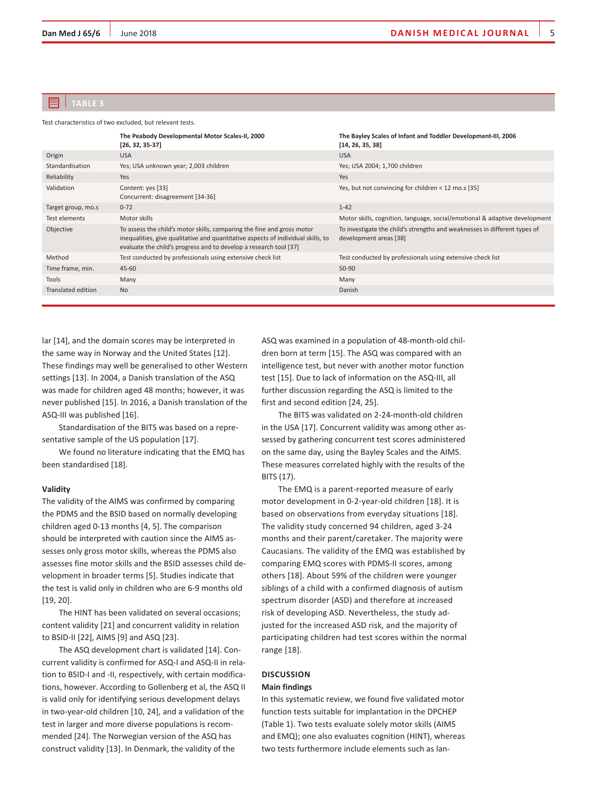# **Table 3**

Test characteristics of two excluded, but relevant tests.

|                           | The Peabody Developmental Motor Scales-II, 2000<br>$[26, 32, 35-37]$                                                                                                                                                            | The Bayley Scales of Infant and Toddler Development-III, 2006<br>[14, 26, 35, 38]                   |
|---------------------------|---------------------------------------------------------------------------------------------------------------------------------------------------------------------------------------------------------------------------------|-----------------------------------------------------------------------------------------------------|
| Origin                    | <b>USA</b>                                                                                                                                                                                                                      | <b>USA</b>                                                                                          |
| Standardisation           | Yes; USA unknown year; 2,003 children                                                                                                                                                                                           | Yes; USA 2004; 1,700 children                                                                       |
| Reliability               | Yes                                                                                                                                                                                                                             | Yes                                                                                                 |
| Validation                | Content: yes [33]<br>Concurrent: disagreement [34-36]                                                                                                                                                                           | Yes, but not convincing for children < 12 mo.s [35]                                                 |
| Target group, mo.s        | $0 - 72$                                                                                                                                                                                                                        | $1 - 42$                                                                                            |
| Test elements             | Motor skills                                                                                                                                                                                                                    | Motor skills, cognition, language, social/emotional & adaptive development                          |
| Objective                 | To assess the child's motor skills, comparing the fine and gross motor<br>inequalities, give qualitative and quantitative aspects of individual skills, to<br>evaluate the child's progress and to develop a research tool [37] | To investigate the child's strengths and weaknesses in different types of<br>development areas [38] |
| Method                    | Test conducted by professionals using extensive check list                                                                                                                                                                      | Test conducted by professionals using extensive check list                                          |
| Time frame, min.          | 45-60                                                                                                                                                                                                                           | 50-90                                                                                               |
| Tools                     | Many                                                                                                                                                                                                                            | Many                                                                                                |
| <b>Translated edition</b> | <b>No</b>                                                                                                                                                                                                                       | Danish                                                                                              |

lar [14], and the domain scores may be interpreted in the same way in Norway and the United States [12]. These findings may well be generalised to other Western settings [13]. In 2004, a Danish translation of the ASQ was made for children aged 48 months; however, it was never published [15]. In 2016, a Danish translation of the ASQ-III was published [16].

Standardisation of the BITS was based on a representative sample of the US population [17].

We found no literature indicating that the EMQ has been standardised [18].

# **Validity**

The validity of the AIMS was confirmed by comparing the PDMS and the BSID based on normally developing children aged 0-13 months [4, 5]. The comparison should be interpreted with caution since the AIMS assesses only gross motor skills, whereas the PDMS also assesses fine motor skills and the BSID assesses child development in broader terms [5]. Studies indicate that the test is valid only in children who are 6-9 months old [19, 20].

The HINT has been validated on several occasions; content validity [21] and concurrent validity in relation to BSID-II [22], AIMS [9] and ASQ [23].

The ASQ development chart is validated [14]. Concurrent validity is confirmed for ASQ-I and ASQ-II in relation to BSID-I and -II, respectively, with certain modifications, however. According to Gollenberg et al, the ASQ II is valid only for identifying serious development delays in two-year-old children [10, 24], and a validation of the test in larger and more diverse populations is recommended [24]. The Norwegian version of the ASQ has construct validity [13]. In Denmark, the validity of the

ASQ was examined in a population of 48-month-old children born at term [15]. The ASQ was compared with an intelligence test, but never with another motor function test [15]. Due to lack of information on the ASQ-III, all further discussion regarding the ASQ is limited to the first and second edition [24, 25].

The BITS was validated on 2-24-month-old children in the USA [17]. Concurrent validity was among other assessed by gathering concurrent test scores administered on the same day, using the Bayley Scales and the AIMS. These measures correlated highly with the results of the BITS (17).

The EMQ is a parent-reported measure of early motor development in 0-2-year-old children [18]. It is based on observations from everyday situations [18]. The validity study concerned 94 children, aged 3-24 months and their parent/caretaker. The majority were Caucasians. The validity of the EMQ was established by comparing EMQ scores with PDMS-II scores, among others [18]. About 59% of the children were younger siblings of a child with a confirmed diagnosis of autism spectrum disorder (ASD) and therefore at increased risk of developing ASD. Nevertheless, the study adjusted for the increased ASD risk, and the majority of participating children had test scores within the normal range [18].

# **Discussion Main findings**

In this systematic review, we found five validated motor function tests suitable for implantation in the DPCHEP (Table 1). Two tests evaluate solely motor skills (AIMS and EMQ); one also evaluates cognition (HINT), whereas two tests furthermore include elements such as lan-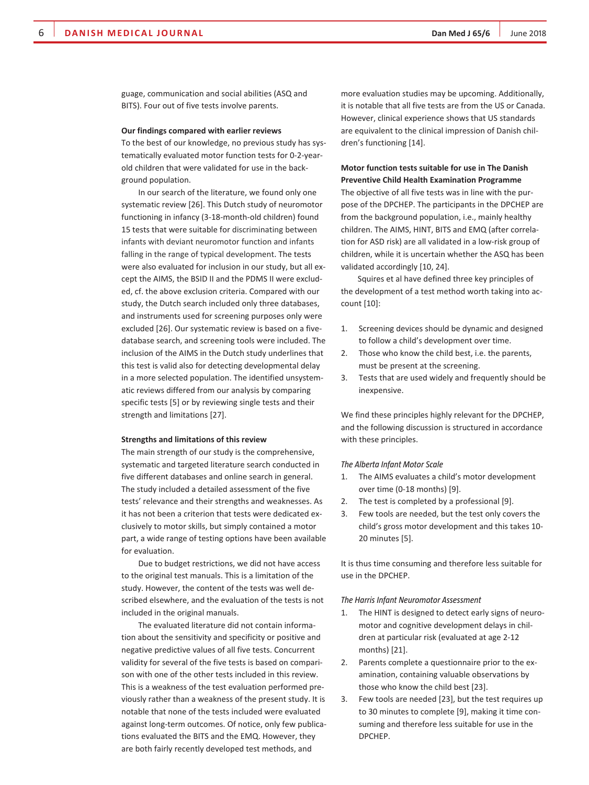guage, communication and social abilities (ASQ and BITS). Four out of five tests involve parents.

## **Our findings compared with earlier reviews**

To the best of our knowledge, no previous study has systematically evaluated motor function tests for 0-2-yearold children that were validated for use in the background population.

In our search of the literature, we found only one systematic review [26]. This Dutch study of neuromotor functioning in infancy (3-18-month-old children) found 15 tests that were suitable for discriminating between infants with deviant neuromotor function and infants falling in the range of typical development. The tests were also evaluated for inclusion in our study, but all except the AIMS, the BSID II and the PDMS II were excluded, cf. the above exclusion criteria. Compared with our study, the Dutch search included only three databases, and instruments used for screening purposes only were excluded [26]. Our systematic review is based on a fivedatabase search, and screening tools were included. The inclusion of the AIMS in the Dutch study underlines that this test is valid also for detecting developmental delay in a more selected population. The identified unsystematic reviews differed from our analysis by comparing specific tests [5] or by reviewing single tests and their strength and limitations [27].

### **Strengths and limitations of this review**

The main strength of our study is the comprehensive, systematic and targeted literature search conducted in five different databases and online search in general. The study included a detailed assessment of the five tests' relevance and their strengths and weaknesses. As it has not been a criterion that tests were dedicated exclusively to motor skills, but simply contained a motor part, a wide range of testing options have been available for evaluation.

Due to budget restrictions, we did not have access to the original test manuals. This is a limitation of the study. However, the content of the tests was well described elsewhere, and the evaluation of the tests is not included in the original manuals.

The evaluated literature did not contain information about the sensitivity and specificity or positive and negative predictive values of all five tests. Concurrent validity for several of the five tests is based on comparison with one of the other tests included in this review. This is a weakness of the test evaluation performed previously rather than a weakness of the present study. It is notable that none of the tests included were evaluated against long-term outcomes. Of notice, only few publications evaluated the BITS and the EMQ. However, they are both fairly recently developed test methods, and

more evaluation studies may be upcoming. Additionally, it is notable that all five tests are from the US or Canada. However, clinical experience shows that US standards are equivalent to the clinical impression of Danish children's functioning [14].

# **Motor function tests suitable for use in The Danish Preventive Child Health Examination Programme**

The objective of all five tests was in line with the purpose of the DPCHEP. The participants in the DPCHEP are from the background population, i.e., mainly healthy children. The AIMS, HINT, BITS and EMQ (after correlation for ASD risk) are all validated in a low-risk group of children, while it is uncertain whether the ASQ has been validated accordingly [10, 24].

Squires et al have defined three key principles of the development of a test method worth taking into account [10]:

- 1. Screening devices should be dynamic and designed to follow a child's development over time.
- 2. Those who know the child best, i.e. the parents, must be present at the screening.
- 3. Tests that are used widely and frequently should be inexpensive.

We find these principles highly relevant for the DPCHEP, and the following discussion is structured in accordance with these principles.

#### *The Alberta Infant Motor Scale*

- 1. The AIMS evaluates a child's motor development over time (0-18 months) [9].
- 2. The test is completed by a professional [9].
- 3. Few tools are needed, but the test only covers the child's gross motor development and this takes 10- 20 minutes [5].

It is thus time consuming and therefore less suitable for use in the DPCHEP.

## *The Harris Infant Neuromotor Assessment*

- 1. The HINT is designed to detect early signs of neuromotor and cognitive development delays in children at particular risk (evaluated at age 2-12 months) [21].
- 2. Parents complete a questionnaire prior to the examination, containing valuable observations by those who know the child best [23].
- 3. Few tools are needed [23], but the test requires up to 30 minutes to complete [9], making it time consuming and therefore less suitable for use in the DPCHEP.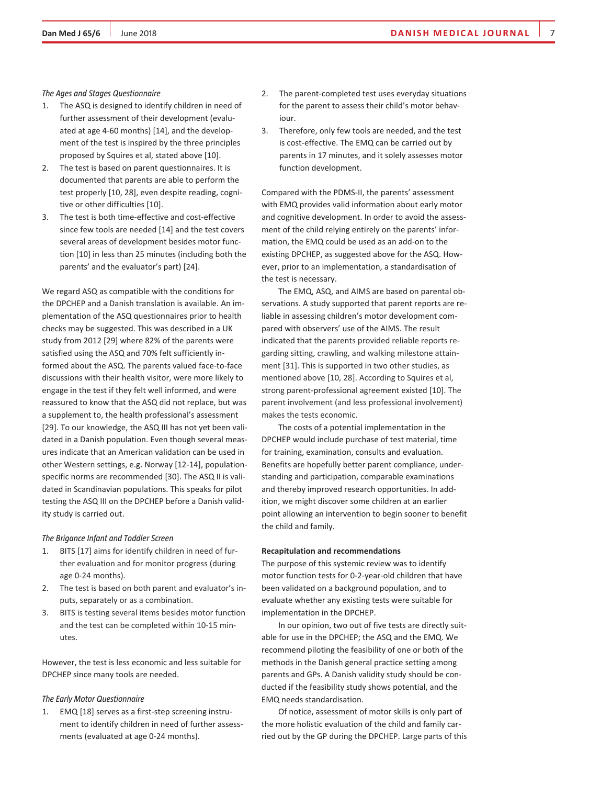#### *The Ages and Stages Questionnaire*

- 1. The ASQ is designed to identify children in need of further assessment of their development (evaluated at age 4-60 months) [14], and the development of the test is inspired by the three principles proposed by Squires et al, stated above [10].
- 2. The test is based on parent questionnaires. It is documented that parents are able to perform the test properly [10, 28], even despite reading, cognitive or other difficulties [10].
- 3. The test is both time-effective and cost-effective since few tools are needed [14] and the test covers several areas of development besides motor function [10] in less than 25 minutes (including both the parents' and the evaluator's part) [24].

We regard ASQ as compatible with the conditions for the DPCHEP and a Danish translation is available. An implementation of the ASQ questionnaires prior to health checks may be suggested. This was described in a UK study from 2012 [29] where 82% of the parents were satisfied using the ASQ and 70% felt sufficiently informed about the ASQ. The parents valued face-to-face discussions with their health visitor, were more likely to engage in the test if they felt well informed, and were reassured to know that the ASQ did not replace, but was a supplement to, the health professional's assessment [29]. To our knowledge, the ASQ III has not yet been validated in a Danish population. Even though several measures indicate that an American validation can be used in other Western settings, e.g. Norway [12-14], populationspecific norms are recommended [30]. The ASQ II is validated in Scandinavian populations. This speaks for pilot testing the ASQ III on the DPCHEP before a Danish validity study is carried out.

# *The Brigance Infant and Toddler Screen*

- 1. BITS [17] aims for identify children in need of further evaluation and for monitor progress (during age 0-24 months).
- 2. The test is based on both parent and evaluator's inputs, separately or as a combination.
- 3. BITS is testing several items besides motor function and the test can be completed within 10-15 minutes.

However, the test is less economic and less suitable for DPCHEP since many tools are needed.

### *The Early Motor Questionnaire*

1. EMQ [18] serves as a first-step screening instrument to identify children in need of further assessments (evaluated at age 0-24 months).

- 2. The parent-completed test uses everyday situations for the parent to assess their child's motor behaviour.
- 3. Therefore, only few tools are needed, and the test is cost-effective. The EMQ can be carried out by parents in 17 minutes, and it solely assesses motor function development.

Compared with the PDMS-II, the parents' assessment with EMQ provides valid information about early motor and cognitive development. In order to avoid the assessment of the child relying entirely on the parents' information, the EMQ could be used as an add-on to the existing DPCHEP, as suggested above for the ASQ. However, prior to an implementation, a standardisation of the test is necessary.

The EMQ, ASQ, and AIMS are based on parental observations. A study supported that parent reports are reliable in assessing children's motor development compared with observers' use of the AIMS. The result indicated that the parents provided reliable reports regarding sitting, crawling, and walking milestone attainment [31]. This is supported in two other studies, as mentioned above [10, 28]. According to Squires et al, strong parent-professional agreement existed [10]. The parent involvement (and less professional involvement) makes the tests economic.

The costs of a potential implementation in the DPCHEP would include purchase of test material, time for training, examination, consults and evaluation. Benefits are hopefully better parent compliance, understanding and participation, comparable examinations and thereby improved research opportunities. In addition, we might discover some children at an earlier point allowing an intervention to begin sooner to benefit the child and family.

# **Recapitulation and recommendations**

The purpose of this systemic review was to identify motor function tests for 0-2-year-old children that have been validated on a background population, and to evaluate whether any existing tests were suitable for implementation in the DPCHEP.

In our opinion, two out of five tests are directly suitable for use in the DPCHEP; the ASQ and the EMQ. We recommend piloting the feasibility of one or both of the methods in the Danish general practice setting among parents and GPs. A Danish validity study should be conducted if the feasibility study shows potential, and the EMQ needs standardisation.

Of notice, assessment of motor skills is only part of the more holistic evaluation of the child and family carried out by the GP during the DPCHEP. Large parts of this